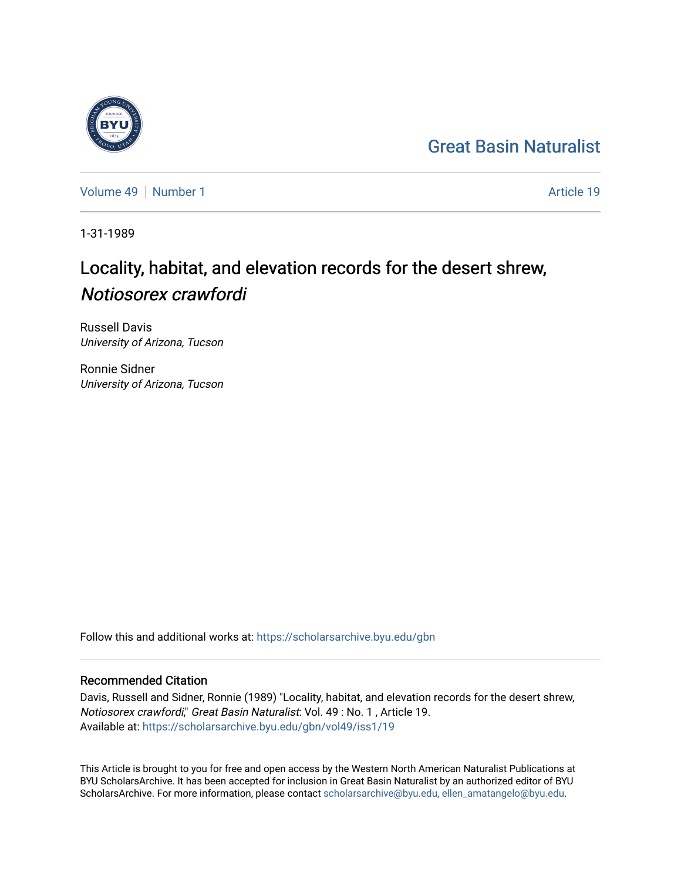## [Great Basin Naturalist](https://scholarsarchive.byu.edu/gbn)

[Volume 49](https://scholarsarchive.byu.edu/gbn/vol49) [Number 1](https://scholarsarchive.byu.edu/gbn/vol49/iss1) Article 19

1-31-1989

# Locality, habitat, and elevation records for the desert shrew, Notiosorex crawfordi

Russell Davis University of Arizona, Tucson

Ronnie Sidner University of Arizona, Tucson

Follow this and additional works at: [https://scholarsarchive.byu.edu/gbn](https://scholarsarchive.byu.edu/gbn?utm_source=scholarsarchive.byu.edu%2Fgbn%2Fvol49%2Fiss1%2F19&utm_medium=PDF&utm_campaign=PDFCoverPages) 

### Recommended Citation

Davis, Russell and Sidner, Ronnie (1989) "Locality, habitat, and elevation records for the desert shrew, Notiosorex crawfordi," Great Basin Naturalist: Vol. 49 : No. 1 , Article 19. Available at: [https://scholarsarchive.byu.edu/gbn/vol49/iss1/19](https://scholarsarchive.byu.edu/gbn/vol49/iss1/19?utm_source=scholarsarchive.byu.edu%2Fgbn%2Fvol49%2Fiss1%2F19&utm_medium=PDF&utm_campaign=PDFCoverPages) 

This Article is brought to you for free and open access by the Western North American Naturalist Publications at BYU ScholarsArchive. It has been accepted for inclusion in Great Basin Naturalist by an authorized editor of BYU ScholarsArchive. For more information, please contact [scholarsarchive@byu.edu, ellen\\_amatangelo@byu.edu.](mailto:scholarsarchive@byu.edu,%20ellen_amatangelo@byu.edu)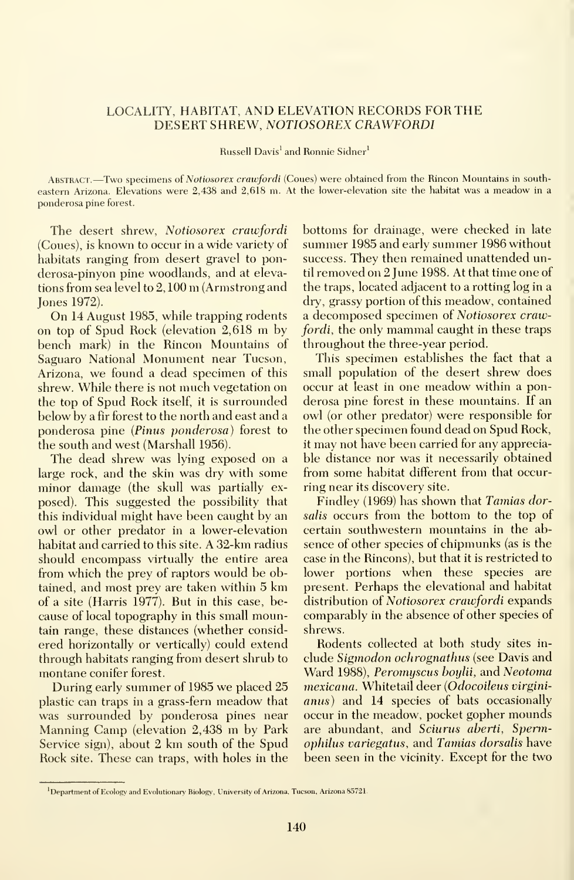#### LOCALITY, HABITAT, AND ELEVATION RECORDS FOR THE DESERT SHREW, NOTIOSOREX CRAWFORDI

Russell Davis<sup>1</sup> and Ronnie Sidner<sup>1</sup>

Abstract. —Two specimens of Notiosorex crawfordi (Coues) were obtained from the Rincon Mountains in south eastern Arizona. Elevations were 2,438 and 2,618 m. At the lower-elevation site the habitat was <sup>a</sup> meadow in <sup>a</sup> ponderosa pine forest.

The desert shrew, Notiosorex crawfordi (Coues), is known to occur in a wide variety of habitats ranging from desert gravel to ponderosa-pinyon pine woodlands, and at elevations from sea level to 2, <sup>100</sup> m (Armstrong and Jones 1972).

On <sup>14</sup> August 1985, while trapping rodents on top of Spud Rock (elevation 2,618 m by bench mark) in the Rincon Mountains of Saguaro National Monument near Tucson, Arizona, we found <sup>a</sup> dead specimen of this shrew. While there is not much vegetation on the top of Spud Rock itself, it is surrounded below by a fir forest to the north and east and a ponderosa pine (Pinus ponderosa) forest to the south and west (Marshall 1956).

The dead shrew was lying exposed on a large rock, and the skin was dry with some minor damage (the skull was partially ex posed). This suggested the possibility that this individual might have been caught by an owl or other predator in a lower-elevation habitat and carried to this site. A 32-km radius should encompass virtually the entire area from which the prey of raptors would be obtained, and most prey are taken within 5 km of a site (Harris 1977). But in this case, be cause of local topography in this small mountain range, these distances (whether considered horizontally or vertically) could extend through habitats ranging from desert shrub to montane conifer forest.

During early summer of 1985 we placed 25 plastic can traps in a grass-fern meadow that was surrounded by ponderosa pines near Manning Camp (elevation 2,438 m by Park Service sign), about <sup>2</sup> km south of the Spud Rock site. These can traps, with holes in the bottoms for drainage, were checked in late summer 1985 and early summer 1986 without success. They then remained unattended until removed on 2 June 1988. At that time one of the traps, located adjacent to a rotting log in a dry, grassy portion of this meadow, contained a decomposed specimen of Notiosorex crawfordi, the only mammal caught in these traps throughout the three-year period.

This specimen establishes the fact that a small population of the desert shrew does occur at least in one meadow within <sup>a</sup> ponderosa pine forest in these mountains. If an owl (or other predator) were responsible for the other specimen found dead on Spud Rock, it may not have been carried for any appreciable distance nor was it necessarily obtained from some habitat different from that occurring near its discovery site.

Findley (1969) has shown that Tamias dorsalis occurs from the bottom to the top of certain southwestern mountains in the ab sence of other species of chipmunks (as is the case in the Rincons), but that it is restricted to lower portions when these species are present. Perhaps the elevational and habitat distribution of Notiosorex crawfordi expands comparably in the absence of other species of shrews.

Rodents collected at both study sites in clude Sigmodon ochrognathus (see Davis and Ward 1988), Peromyscus boylii, and Neotoma mexicana. Whitetail deer (Odocoileus virginianus) and 14 species of bats occasionally occur in the meadow, pocket gopher mounds are abundant, and Sciurus aberti, Spermophilus variegatus, and Tamias dorsalis have been seen in the vicinity. Except for the two

<sup>&</sup>lt;sup>1</sup>Department of Ecology and Evolutionary Biology, University of Arizona, Tucson, Arizona 85721